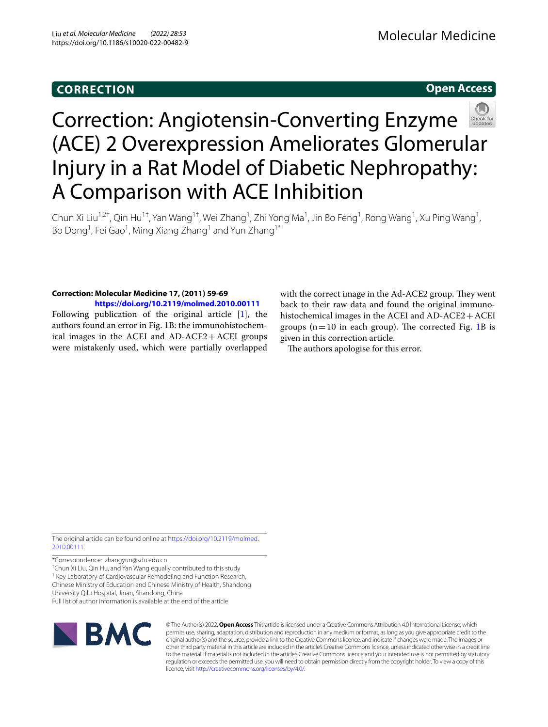## **CORRECTION**

## **Open Access**



# Correction: Angiotensin-Converting Enzyme (ACE) 2 Overexpression Ameliorates Glomerular Injury in a Rat Model of Diabetic Nephropathy: A Comparison with ACE Inhibition

Chun Xi Liu<sup>1,2†</sup>, Qin Hu<sup>1†</sup>, Yan Wang<sup>1†</sup>, Wei Zhang<sup>1</sup>, Zhi Yong Ma<sup>1</sup>, Jin Bo Feng<sup>1</sup>, Rong Wang<sup>1</sup>, Xu Ping Wang<sup>1</sup>, Bo Dong<sup>1</sup>, Fei Gao<sup>1</sup>, Ming Xiang Zhang<sup>1</sup> and Yun Zhang<sup>1\*</sup>

### **Correction: Molecular Medicine 17, (2011) 59‑69 <https://doi.org/10.2119/molmed.2010.00111>**

Following publication of the original article [\[1\]](#page-1-0), the authors found an error in Fig. 1B: the immunohistochemical images in the ACEI and  $AD-ACE2+ACE1$  groups were mistakenly used, which were partially overlapped with the correct image in the Ad-ACE2 group. They went back to their raw data and found the original immunohistochemical images in the ACEI and AD-ACE2 + ACEI groups  $(n=10$  $(n=10$  $(n=10$  in each group). The corrected Fig. 1B is given in this correction article.

The authors apologise for this error.

The original article can be found online at [https://doi.org/10.2119/molmed.](https://doi.org/10.2119/molmed.2010.00111) [2010.00111.](https://doi.org/10.2119/molmed.2010.00111)

\*Correspondence: zhangyun@sdu.edu.cn

† Chun Xi Liu, Qin Hu, and Yan Wang equally contributed to this study <sup>1</sup> Key Laboratory of Cardiovascular Remodeling and Function Research,

Chinese Ministry of Education and Chinese Ministry of Health, Shandong

University Qilu Hospital, Jinan, Shandong, China

Full list of author information is available at the end of the article



© The Author(s) 2022. **Open Access** This article is licensed under a Creative Commons Attribution 4.0 International License, which permits use, sharing, adaptation, distribution and reproduction in any medium or format, as long as you give appropriate credit to the original author(s) and the source, provide a link to the Creative Commons licence, and indicate if changes were made. The images or other third party material in this article are included in the article's Creative Commons licence, unless indicated otherwise in a credit line to the material. If material is not included in the article's Creative Commons licence and your intended use is not permitted by statutory regulation or exceeds the permitted use, you will need to obtain permission directly from the copyright holder. To view a copy of this licence, visit [http://creativecommons.org/licenses/by/4.0/.](http://creativecommons.org/licenses/by/4.0/)